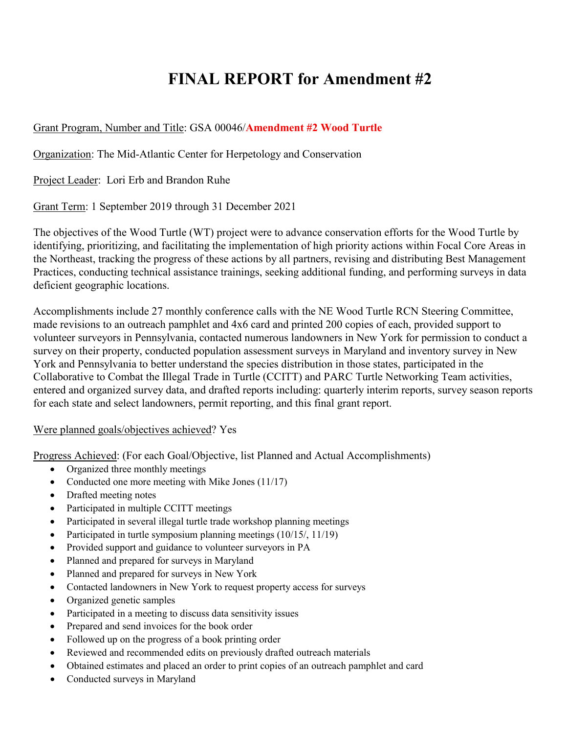## **FINAL REPORT for Amendment #2**

## Grant Program, Number and Title: GSA 00046/**Amendment #2 Wood Turtle**

Organization: The Mid-Atlantic Center for Herpetology and Conservation

Project Leader: Lori Erb and Brandon Ruhe

Grant Term: 1 September 2019 through 31 December 2021

The objectives of the Wood Turtle (WT) project were to advance conservation efforts for the Wood Turtle by identifying, prioritizing, and facilitating the implementation of high priority actions within Focal Core Areas in the Northeast, tracking the progress of these actions by all partners, revising and distributing Best Management Practices, conducting technical assistance trainings, seeking additional funding, and performing surveys in data deficient geographic locations.

Accomplishments include 27 monthly conference calls with the NE Wood Turtle RCN Steering Committee, made revisions to an outreach pamphlet and 4x6 card and printed 200 copies of each, provided support to volunteer surveyors in Pennsylvania, contacted numerous landowners in New York for permission to conduct a survey on their property, conducted population assessment surveys in Maryland and inventory survey in New York and Pennsylvania to better understand the species distribution in those states, participated in the Collaborative to Combat the Illegal Trade in Turtle (CCITT) and PARC Turtle Networking Team activities, entered and organized survey data, and drafted reports including: quarterly interim reports, survey season reports for each state and select landowners, permit reporting, and this final grant report.

## Were planned goals/objectives achieved? Yes

Progress Achieved: (For each Goal/Objective, list Planned and Actual Accomplishments)

- Organized three monthly meetings
- Conducted one more meeting with Mike Jones (11/17)
- Drafted meeting notes
- Participated in multiple CCITT meetings
- Participated in several illegal turtle trade workshop planning meetings
- Participated in turtle symposium planning meetings (10/15/, 11/19)
- Provided support and guidance to volunteer surveyors in PA
- Planned and prepared for surveys in Maryland
- Planned and prepared for surveys in New York
- Contacted landowners in New York to request property access for surveys
- Organized genetic samples
- Participated in a meeting to discuss data sensitivity issues
- Prepared and send invoices for the book order
- Followed up on the progress of a book printing order
- Reviewed and recommended edits on previously drafted outreach materials
- Obtained estimates and placed an order to print copies of an outreach pamphlet and card
- Conducted surveys in Maryland